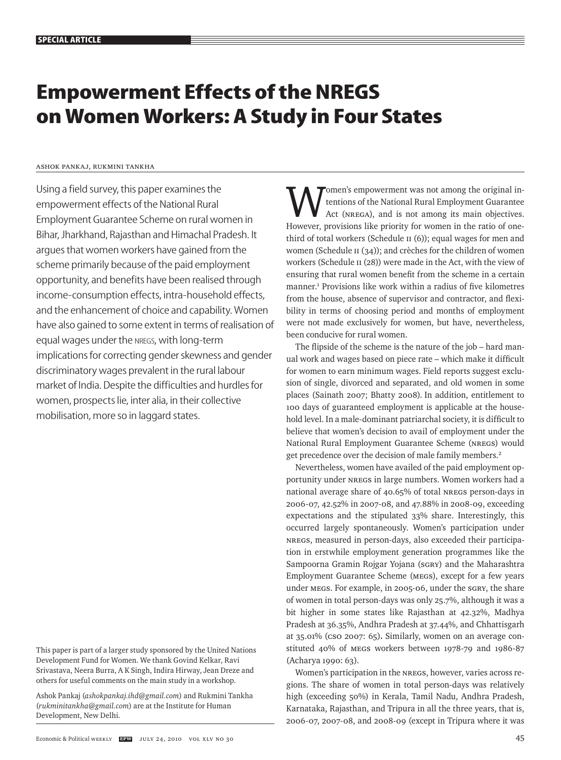# **Empowerment Effects of the NREGS on Women Workers: A Study in Four States**

#### Ashok Pankaj, Rukmini Tankha

Using a field survey, this paper examines the empowerment effects of the National Rural Employment Guarantee Scheme on rural women in Bihar, Jharkhand, Rajasthan and Himachal Pradesh. It argues that women workers have gained from the scheme primarily because of the paid employment opportunity, and benefits have been realised through income-consumption effects, intra-household effects, and the enhancement of choice and capability. Women have also gained to some extent in terms of realisation of equal wages under the nregs, with long-term implications for correcting gender skewness and gender discriminatory wages prevalent in the rural labour market of India. Despite the difficulties and hurdles for women, prospects lie, inter alia, in their collective mobilisation, more so in laggard states.

This paper is part of a larger study sponsored by the United Nations Development Fund for Women. We thank Govind Kelkar, Ravi Srivastava, Neera Burra, A K Singh, Indira Hirway, Jean Dreze and others for useful comments on the main study in a workshop.

Ashok Pankaj (*ashokpankaj.ihd@gmail.com*) and Rukmini Tankha (*rukminitankha@gmail.com*) are at the Institute for Human Development, New Delhi.

omen's empowerment was not among the original intentions of the National Rural Employment Guarantee Act (NREGA), and is not among its main objectives. However, provisions like priority for women in the ratio of onethird of total workers (Schedule II (6)); equal wages for men and women (Schedule II (34)); and crèches for the children of women workers (Schedule II (28)) were made in the Act, with the view of ensuring that rural women benefit from the scheme in a certain manner.<sup>1</sup> Provisions like work within a radius of five kilometres from the house, absence of supervisor and contractor, and flexibility in terms of choosing period and months of employment were not made exclusively for women, but have, nevertheless, been conducive for rural women.

The flipside of the scheme is the nature of the job – hard manual work and wages based on piece rate – which make it difficult for women to earn minimum wages. Field reports suggest exclusion of single, divorced and separated, and old women in some places (Sainath 2007; Bhatty 2008). In addition, entitlement to 100 days of guaranteed employment is applicable at the household level. In a male-dominant patriarchal society, it is difficult to believe that women's decision to avail of employment under the National Rural Employment Guarantee Scheme (NREGS) would get precedence over the decision of male family members.2

Nevertheless, women have availed of the paid employment opportunity under NREGS in large numbers. Women workers had a national average share of 40.65% of total NREGS person-days in 2006-07, 42.52% in 2007-08, and 47.88% in 2008-09, exceeding expectations and the stipulated 33% share. Interestingly, this occurred largely spontaneously. Women's participation under NREGS, measured in person-days, also exceeded their participation in erstwhile employment generation programmes like the Sampoorna Gramin Rojgar Yojana (SGRY) and the Maharashtra Employment Guarantee Scheme (MEGS), except for a few years under MEGS. For example, in 2005-06, under the SGRY, the share of women in total person-days was only 25.7%, although it was a bit higher in some states like Rajasthan at 42.32%, Madhya Pradesh at 36.35%, Andhra Pradesh at 37.44%, and Chhattisgarh at 35.01% (CSO 2007: 65)**.** Similarly, women on an average constituted 40% of MEGS workers between 1978-79 and 1986-87 (Acharya 1990: 63).

Women's participation in the NREGS, however, varies across regions. The share of women in total person-days was relatively high (exceeding 50%) in Kerala, Tamil Nadu, Andhra Pradesh, Karnataka, Rajasthan, and Tripura in all the three years, that is, 2006-07, 2007-08, and 2008-09 (except in Tripura where it was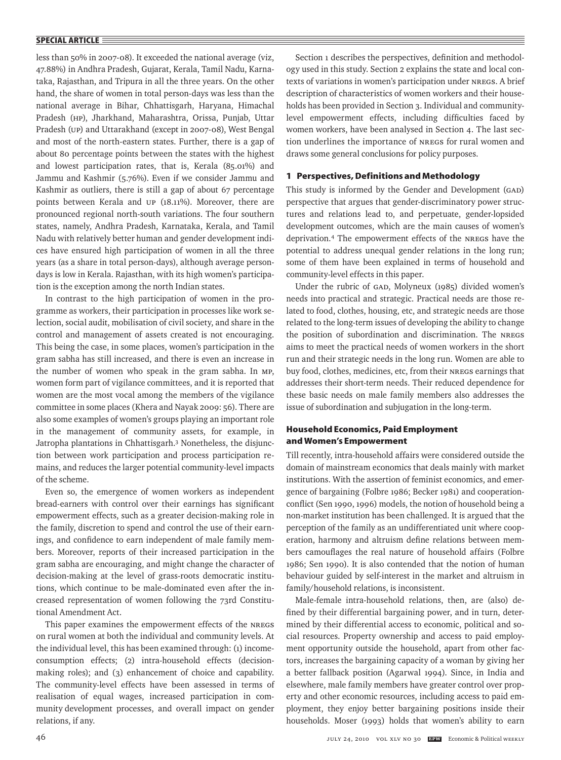less than 50% in 2007-08). It exceeded the national average (viz, 47.88%) in Andhra Pradesh, Gujarat, Kerala, Tamil Nadu, Karnataka, Rajasthan, and Tripura in all the three years. On the other hand, the share of women in total person-days was less than the national average in Bihar, Chhattisgarh, Haryana, Himachal Pradesh (HP), Jharkhand, Maharashtra, Orissa, Punjab, Uttar Pradesh (UP) and Uttarakhand (except in 2007-08), West Bengal and most of the north-eastern states. Further, there is a gap of about 80 percentage points between the states with the highest and lowest participation rates, that is, Kerala (85.01%) and Jammu and Kashmir (5.76%). Even if we consider Jammu and Kashmir as outliers, there is still a gap of about 67 percentage points between Kerala and UP (18.11%). Moreover, there are pronounced regional north-south variations. The four southern states, namely, Andhra Pradesh, Karnataka, Kerala, and Tamil Nadu with relatively better human and gender development indices have ensured high participation of women in all the three years (as a share in total person-days), although average persondays is low in Kerala. Rajasthan, with its high women's participation is the exception among the north Indian states.

In contrast to the high participation of women in the programme as workers, their participation in processes like work selection, social audit, mobilisation of civil society, and share in the control and management of assets created is not encouraging. This being the case, in some places, women's participation in the gram sabha has still increased, and there is even an increase in the number of women who speak in the gram sabha. In MP, women form part of vigilance committees, and it is reported that women are the most vocal among the members of the vigilance committee in some places (Khera and Nayak 2009: 56). There are also some examples of women's groups playing an important role in the management of community assets, for example, in Jatropha plantations in Chhattisgarh.<sup>3</sup> Nonetheless, the disjunction between work participation and process participation remains, and reduces the larger potential community-level impacts of the scheme.

Even so, the emergence of women workers as independent bread-earners with control over their earnings has significant empowerment effects, such as a greater decision-making role in the family, discretion to spend and control the use of their earnings, and confidence to earn independent of male family members. Moreover, reports of their increased participation in the gram sabha are encouraging, and might change the character of decision-making at the level of grass-roots democratic institutions, which continue to be male-dominated even after the increased representation of women following the 73rd Constitutional Amendment Act.

This paper examines the empowerment effects of the NREGS on rural women at both the individual and community levels. At the individual level, this has been examined through: (1) incomeconsumption effects; (2) intra-household effects (decisionmaking roles); and (3) enhancement of choice and capability. The community-level effects have been assessed in terms of realisation of equal wages, increased participation in community development processes, and overall impact on gender relations, if any.

Section 1 describes the perspectives, definition and methodology used in this study. Section 2 explains the state and local contexts of variations in women's participation under NREGS. A brief description of characteristics of women workers and their households has been provided in Section 3. Individual and communitylevel empowerment effects, including difficulties faced by women workers, have been analysed in Section 4. The last section underlines the importance of NREGS for rural women and draws some general conclusions for policy purposes.

### **1 Perspectives, Definitions and Methodology**

This study is informed by the Gender and Development (GAD) perspective that argues that gender-discriminatory power structures and relations lead to, and perpetuate, gender-lopsided development outcomes, which are the main causes of women's deprivation.4 The empowerment effects of the NREGS have the potential to address unequal gender relations in the long run; some of them have been explained in terms of household and community-level effects in this paper.

Under the rubric of GAD, Molyneux (1985) divided women's needs into practical and strategic. Practical needs are those related to food, clothes, housing, etc, and strategic needs are those related to the long-term issues of developing the ability to change the position of subordination and discrimination. The NREGS aims to meet the practical needs of women workers in the short run and their strategic needs in the long run. Women are able to buy food, clothes, medicines, etc, from their NREGS earnings that addresses their short-term needs. Their reduced dependence for these basic needs on male family members also addresses the issue of subordination and subjugation in the long-term.

# **Household Economics, Paid Employment and Women's Empowerment**

Till recently, intra-household affairs were considered outside the domain of mainstream economics that deals mainly with market institutions. With the assertion of feminist economics, and emergence of bargaining (Folbre 1986; Becker 1981) and cooperationconflict (Sen 1990, 1996) models, the notion of household being a non-market institution has been challenged. It is argued that the perception of the family as an undifferentiated unit where cooperation, harmony and altruism define relations between members camouflages the real nature of household affairs (Folbre 1986; Sen 1990). It is also contended that the notion of human behaviour guided by self-interest in the market and altruism in family/household relations, is inconsistent.

Male-female intra-household relations, then, are (also) defined by their differential bargaining power, and in turn, determined by their differential access to economic, political and social resources. Property ownership and access to paid employment opportunity outside the household, apart from other factors, increases the bargaining capacity of a woman by giving her a better fallback position (Agarwal 1994). Since, in India and elsewhere, male family members have greater control over property and other economic resources, including access to paid employment, they enjoy better bargaining positions inside their households. Moser (1993) holds that women's ability to earn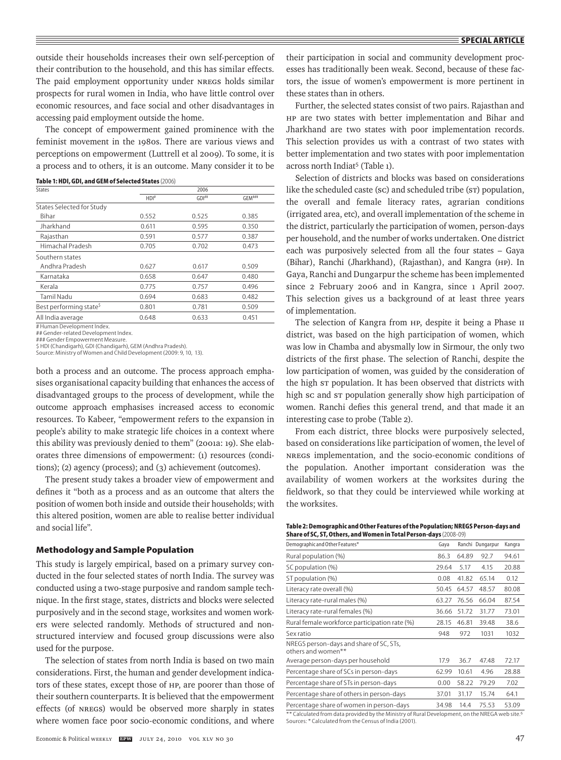outside their households increases their own self-perception of their contribution to the household, and this has similar effects. The paid employment opportunity under NREGS holds similar prospects for rural women in India, who have little control over economic resources, and face social and other disadvantages in accessing paid employment outside the home.

The concept of empowerment gained prominence with the feminist movement in the 1980s. There are various views and perceptions on empowerment (Luttrell et al 2009). To some, it is a process and to others, it is an outcome. Many consider it to be

| States                             | 2006             |       |        |  |  |
|------------------------------------|------------------|-------|--------|--|--|
|                                    | HDI <sup>#</sup> | GDI#  | GFM### |  |  |
| States Selected for Study          |                  |       |        |  |  |
| <b>Bihar</b>                       | 0.552            | 0.525 | 0.385  |  |  |
| Jharkhand                          | 0.611            | 0.595 | 0.350  |  |  |
| Rajasthan                          | 0.591            | 0.577 | 0.387  |  |  |
| Himachal Pradesh                   | 0.705            | 0.702 | 0.473  |  |  |
| Southern states                    |                  |       |        |  |  |
| Andhra Pradesh                     | 0.627            | 0.617 | 0.509  |  |  |
| Karnataka                          | 0.658            | 0.647 | 0.480  |  |  |
| Kerala                             | 0.775            | 0.757 | 0.496  |  |  |
| Tamil Nadu                         | 0.694            | 0.683 | 0.482  |  |  |
| Best performing state <sup>5</sup> | 0.801            | 0.781 | 0.509  |  |  |
| All India average                  | 0.648            | 0.633 | 0.451  |  |  |
|                                    |                  |       |        |  |  |

**Table 1: HDI, GDI, and GEM of Selected States** (2006)

# Human Development Index.

## Gender-related Development Index. ### Gender Empowerment Measure.

\$ HDI (Chandigarh), GDI (Chandigarh), GEM (Andhra Pradesh). Source: Ministry of Women and Child Development (2009: 9, 10, 13).

both a process and an outcome. The process approach emphasises organisational capacity building that enhances the access of disadvantaged groups to the process of development, while the outcome approach emphasises increased access to economic resources. To Kabeer, "empowerment refers to the expansion in people's ability to make strategic life choices in a context where this ability was previously denied to them" (2001a: 19). She elaborates three dimensions of empowerment: (1) resources (conditions); (2) agency (process); and (3) achievement (outcomes).

The present study takes a broader view of empowerment and defines it "both as a process and as an outcome that alters the position of women both inside and outside their households; with this altered position, women are able to realise better individual and social life".

#### **Methodology and Sample Population**

This study is largely empirical, based on a primary survey conducted in the four selected states of north India. The survey was conducted using a two-stage purposive and random sample technique. In the first stage, states, districts and blocks were selected purposively and in the second stage, worksites and women workers were selected randomly. Methods of structured and nonstructured interview and focused group discussions were also used for the purpose.

The selection of states from north India is based on two main considerations. First, the human and gender development indicators of these states, except those of hp, are poorer than those of their southern counterparts. It is believed that the empowerment effects (of NREGS) would be observed more sharply in states where women face poor socio-economic conditions, and where their participation in social and community development processes has traditionally been weak. Second, because of these factors, the issue of women's empowerment is more pertinent in these states than in others.

Further, the selected states consist of two pairs. Rajasthan and hp are two states with better implementation and Bihar and Jharkhand are two states with poor implementation records. This selection provides us with a contrast of two states with better implementation and two states with poor implementation across north Indiat<sup>5</sup> (Table 1).

Selection of districts and blocks was based on considerations like the scheduled caste (sc) and scheduled tribe (sT) population, the overall and female literacy rates, agrarian conditions (irrigated area, etc), and overall implementation of the scheme in the district, particularly the participation of women, person-days per household, and the number of works undertaken. One district each was purposively selected from all the four states – Gaya (Bihar), Ranchi (Jharkhand), (Rajasthan), and Kangra (hp). In Gaya, Ranchi and Dungarpur the scheme has been implemented since 2 February 2006 and in Kangra, since 1 April 2007. This selection gives us a background of at least three years of implementation.

The selection of Kangra from HP, despite it being a Phase II district, was based on the high participation of women, which was low in Chamba and abysmally low in Sirmour, the only two districts of the first phase. The selection of Ranchi, despite the low participation of women, was guided by the consideration of the high ST population. It has been observed that districts with high sc and st population generally show high participation of women. Ranchi defies this general trend, and that made it an interesting case to probe (Table 2).

From each district, three blocks were purposively selected, based on considerations like participation of women, the level of NREGS implementation, and the socio-economic conditions of the population. Another important consideration was the availability of women workers at the worksites during the fieldwork, so that they could be interviewed while working at the worksites.

| Table 2: Demographic and Other Features of the Population; NREGS Person-days and |
|----------------------------------------------------------------------------------|
| Share of SC, ST, Others, and Women in Total Person-days (2008-09)                |

| Demographic and Other Features*                                                                | Gaya  |       | Ranchi Dungarpur | Kangra |
|------------------------------------------------------------------------------------------------|-------|-------|------------------|--------|
| Rural population (%)                                                                           | 86.3  | 64.89 | 92.7             | 94.61  |
| SC population (%)                                                                              | 29.64 | 5.17  | 4.15             | 20.88  |
| ST population (%)                                                                              | 0.08  | 41.82 | 65.14            | 0.12   |
| Literacy rate overall (%)                                                                      | 50.45 | 64.57 | 48.57            | 80.08  |
| Literacy rate-rural males (%)                                                                  | 63.27 | 76.56 | 66.04            | 87.54  |
| Literacy rate-rural females (%)                                                                | 36.66 | 51.72 | 31.77            | 73.01  |
| Rural female workforce participation rate (%)                                                  | 28.15 | 46.81 | 39.48            | 38.6   |
| Sex ratio                                                                                      | 948   | 972   | 1031             | 1032   |
| NREGS person-days and share of SC, STs,<br>others and women**                                  |       |       |                  |        |
| Average person-days per household                                                              | 17.9  | 36.7  | 47.48            | 72.17  |
| Percentage share of SCs in person-days                                                         | 62.99 | 10.61 | 4.96             | 28.88  |
| Percentage share of STs in person-days                                                         | 0.00  | 58.22 | 79.29            | 7.02   |
| Percentage share of others in person-days                                                      | 37.01 | 31.17 | 15.74            | 64.1   |
| Percentage share of women in person-days                                                       | 34.98 | 14.4  | 75.53            | 53.09  |
| ** Calculated from data provided by the Ministry of Bural Dovelopment, on the NBECA web site 6 |       |       |                  |        |

d from data provided by the Mir Sources: \* Calculated from the Census of India (2001).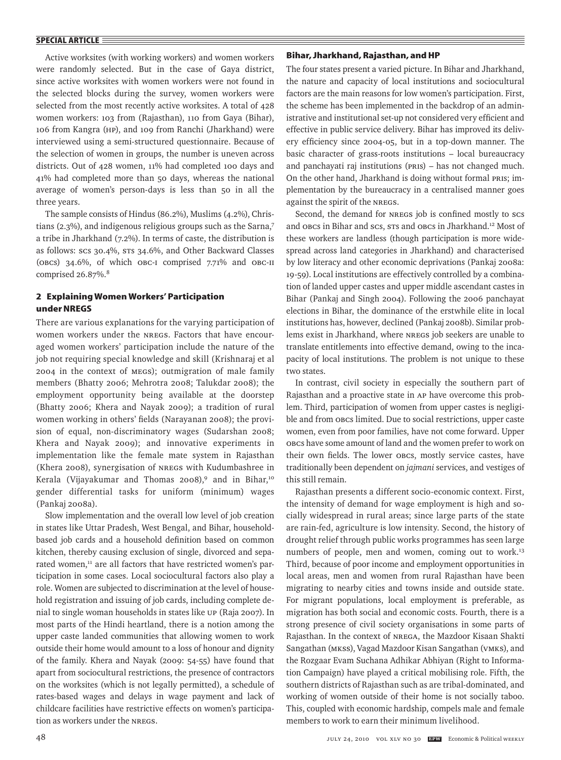Active worksites (with working workers) and women workers were randomly selected. But in the case of Gaya district, since active worksites with women workers were not found in the selected blocks during the survey, women workers were selected from the most recently active worksites. A total of 428 women workers: 103 from (Rajasthan), 110 from Gaya (Bihar), 106 from Kangra (hp), and 109 from Ranchi (Jharkhand) were interviewed using a semi-structured questionnaire. Because of the selection of women in groups, the number is uneven across districts. Out of 428 women, 11% had completed 100 days and 41% had completed more than 50 days, whereas the national average of women's person-days is less than 50 in all the three years.

The sample consists of Hindus (86.2%), Muslims (4.2%), Christians (2.3%), and indigenous religious groups such as the Sarna,7 a tribe in Jharkhand (7.2%). In terms of caste, the distribution is as follows: SCs 30.4%, STs 34.6%, and Other Backward Classes (OBCs) 34.6%, of which OBC-I comprised 7.71% and OBC-II comprised 26.87%.8

# **2 Explaining Women Workers' Participation under NREGS**

There are various explanations for the varying participation of women workers under the NREGS. Factors that have encouraged women workers' participation include the nature of the job not requiring special knowledge and skill (Krishnaraj et al 2004 in the context of MEGS); outmigration of male family members (Bhatty 2006; Mehrotra 2008; Talukdar 2008); the employment opportunity being available at the doorstep (Bhatty 2006; Khera and Nayak 2009); a tradition of rural women working in others' fields (Narayanan 2008); the provision of equal, non-discriminatory wages (Sudarshan 2008; Khera and Nayak 2009); and innovative experiments in implementation like the female mate system in Rajasthan (Khera 2008), synergisation of NREGS with Kudumbashree in Kerala (Vijayakumar and Thomas 2008),<sup>9</sup> and in Bihar,<sup>10</sup> gender differential tasks for uniform (minimum) wages (Pankaj 2008a).

Slow implementation and the overall low level of job creation in states like Uttar Pradesh, West Bengal, and Bihar, householdbased job cards and a household definition based on common kitchen, thereby causing exclusion of single, divorced and separated women,<sup>11</sup> are all factors that have restricted women's participation in some cases. Local sociocultural factors also play a role. Women are subjected to discrimination at the level of household registration and issuing of job cards, including complete denial to single woman households in states like UP (Raja 2007). In most parts of the Hindi heartland, there is a notion among the upper caste landed communities that allowing women to work outside their home would amount to a loss of honour and dignity of the family. Khera and Nayak (2009: 54-55) have found that apart from sociocultural restrictions, the presence of contractors on the worksites (which is not legally permitted), a schedule of rates-based wages and delays in wage payment and lack of childcare facilities have restrictive effects on women's participation as workers under the NREGS.

#### **Bihar, Jharkhand, Rajasthan, and HP**

The four states present a varied picture. In Bihar and Jharkhand, the nature and capacity of local institutions and sociocultural factors are the main reasons for low women's participation. First, the scheme has been implemented in the backdrop of an administrative and institutional set-up not considered very efficient and effective in public service delivery. Bihar has improved its delivery efficiency since 2004-05, but in a top-down manner. The basic character of grass-roots institutions – local bureaucracy and panchayati raj institutions (PRIs) – has not changed much. On the other hand, Jharkhand is doing without formal PRIs; implementation by the bureaucracy in a centralised manner goes against the spirit of the NREGS.

Second, the demand for NREGS job is confined mostly to SCs and OBCs in Bihar and SCs, STs and OBCs in Jharkhand.12 Most of these workers are landless (though participation is more widespread across land categories in Jharkhand) and characterised by low literacy and other economic deprivations (Pankaj 2008a: 19-59). Local institutions are effectively controlled by a combination of landed upper castes and upper middle ascendant castes in Bihar (Pankaj and Singh 2004). Following the 2006 panchayat elections in Bihar, the dominance of the erstwhile elite in local institutions has, however, declined (Pankaj 2008b). Similar problems exist in Jharkhand, where NREGS job seekers are unable to translate entitlements into effective demand, owing to the incapacity of local institutions. The problem is not unique to these two states.

In contrast, civil society in especially the southern part of Rajasthan and a proactive state in AP have overcome this problem. Third, participation of women from upper castes is negligible and from OBCs limited. Due to social restrictions, upper caste women, even from poor families, have not come forward. Upper OBCs have some amount of land and the women prefer to work on their own fields. The lower OBCs, mostly service castes, have traditionally been dependent on *jajmani* services, and vestiges of this still remain.

Rajasthan presents a different socio-economic context. First, the intensity of demand for wage employment is high and socially widespread in rural areas; since large parts of the state are rain-fed, agriculture is low intensity. Second, the history of drought relief through public works programmes has seen large numbers of people, men and women, coming out to work.<sup>13</sup> Third, because of poor income and employment opportunities in local areas, men and women from rural Rajasthan have been migrating to nearby cities and towns inside and outside state. For migrant populations, local employment is preferable, as migration has both social and economic costs. Fourth, there is a strong presence of civil society organisations in some parts of Rajasthan. In the context of NREGA, the Mazdoor Kisaan Shakti Sangathan (MKSS), Vagad Mazdoor Kisan Sangathan (VMKS), and the Rozgaar Evam Suchana Adhikar Abhiyan (Right to Information Campaign) have played a critical mobilising role. Fifth, the southern districts of Rajasthan such as are tribal-dominated, and working of women outside of their home is not socially taboo. This, coupled with economic hardship, compels male and female members to work to earn their minimum livelihood.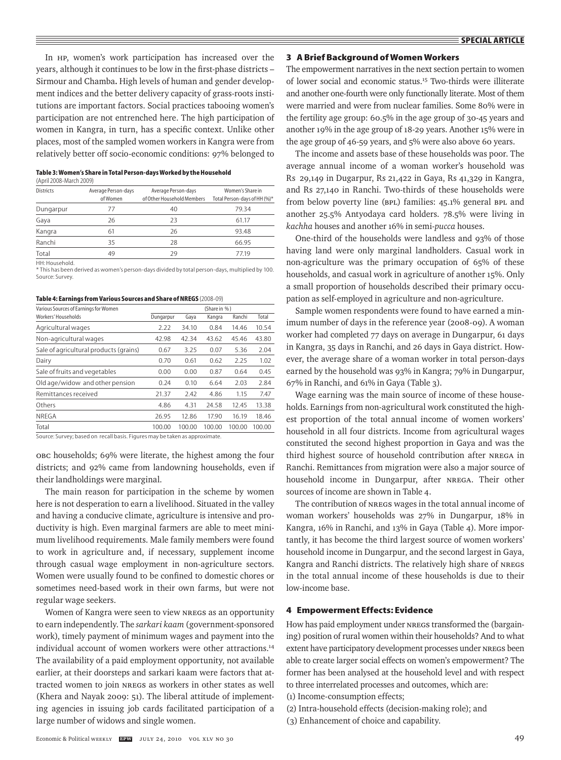In HP, women's work participation has increased over the years, although it continues to be low in the first-phase districts – Sirmour and Chamba**.** High levels of human and gender development indices and the better delivery capacity of grass-roots institutions are important factors. Social practices tabooing women's participation are not entrenched here. The high participation of women in Kangra, in turn, has a specific context. Unlike other places, most of the sampled women workers in Kangra were from relatively better off socio-economic conditions: 97% belonged to

| Table 3: Women's Share in Total Person-days Worked by the Household |
|---------------------------------------------------------------------|
| (April 2008-March 2009)                                             |

| <b>Districts</b> | Average Person-days<br>ofWomen | Average Person-days<br>of Other Household Members | Women's Share in<br>Total Person-days of HH (%)* |
|------------------|--------------------------------|---------------------------------------------------|--------------------------------------------------|
| Dungarpur        | 77                             | 40                                                | 79.34                                            |
| Gaya             | 26                             | 23                                                | 61.17                                            |
| Kangra           | 61                             | 26                                                | 93.48                                            |
| Ranchi           | 35                             | 28                                                | 66.95                                            |
| Total            | 49                             | 29                                                | 77.19                                            |
| HH: Household.   |                                |                                                   |                                                  |

\* This has been derived as women's person-days divided by total person-days, multiplied by 100. Source: Survey.

| Table 4: Earnings from Various Sources and Share of NREGS (2008-09) |  |
|---------------------------------------------------------------------|--|
|---------------------------------------------------------------------|--|

| Various Sources of Earnings for Women  |           |        | (Share in %) |        |        |
|----------------------------------------|-----------|--------|--------------|--------|--------|
| Workers' Households                    | Dungarpur | Gaya   | Kangra       | Ranchi | Total  |
| Agricultural wages                     | 7.22      | 34.10  | 0.84         | 14.46  | 10.54  |
| Non-agricultural wages                 | 42.98     | 42.34  | 43.62        | 45.46  | 43.80  |
| Sale of agricultural products (grains) | 0.67      | 3.25   | 0.07         | 5.36   | 2.04   |
| Dairy                                  | 0.70      | 0.61   | 0.62         | 2.25   | 1.02   |
| Sale of fruits and vegetables          | 0.00      | 0.00   | 0.87         | 0.64   | 0.45   |
| Old age/widow and other pension        | 0.24      | 0.10   | 6.64         | 2.03   | 2.84   |
| Remittances received                   | 21.37     | 2.42   | 4.86         | 1.15   | 7.47   |
| Others                                 | 4.86      | 4.31   | 24.58        | 12.45  | 13.38  |
| <b>NRFGA</b>                           | 26.95     | 12.86  | 17.90        | 16.19  | 18.46  |
| Total                                  | 100.00    | 100.00 | 100.00       | 100.00 | 100.00 |

Source: Survey; based on recall basis. Figures may be taken as approximate.

OBC households; 69% were literate, the highest among the four districts; and 92% came from landowning households, even if their landholdings were marginal.

The main reason for participation in the scheme by women here is not desperation to earn a livelihood. Situated in the valley and having a conducive climate, agriculture is intensive and productivity is high. Even marginal farmers are able to meet minimum livelihood requirements. Male family members were found to work in agriculture and, if necessary, supplement income through casual wage employment in non-agriculture sectors. Women were usually found to be confined to domestic chores or sometimes need-based work in their own farms, but were not regular wage seekers.

Women of Kangra were seen to view NREGS as an opportunity to earn independently. The *sarkari kaam* (government-sponsored work), timely payment of minimum wages and payment into the individual account of women workers were other attractions.<sup>14</sup> The availability of a paid employment opportunity, not available earlier, at their doorsteps and sarkari kaam were factors that attracted women to join NREGS as workers in other states as well (Khera and Nayak 2009: 51). The liberal attitude of implementing agencies in issuing job cards facilitated participation of a large number of widows and single women.

#### **3 A Brief Background of Women Workers**

The empowerment narratives in the next section pertain to women of lower social and economic status.15 Two-thirds were illiterate and another one-fourth were only functionally literate. Most of them were married and were from nuclear families. Some 80% were in the fertility age group: 60.5% in the age group of 30-45 years and another 19% in the age group of 18-29 years. Another 15% were in the age group of 46-59 years, and 5% were also above 60 years.

The income and assets base of these households was poor. The average annual income of a woman worker's household was Rs 29,149 in Dugarpur, Rs 21,422 in Gaya, Rs 41,329 in Kangra, and Rs 27,140 in Ranchi. Two-thirds of these households were from below poverty line (BPL) families: 45.1% general BPL and another 25.5% Antyodaya card holders. 78.5% were living in *kachha* houses and another 16% in semi-*pucca* houses.

One-third of the households were landless and 93% of those having land were only marginal landholders. Casual work in non-agriculture was the primary occupation of 65% of these households, and casual work in agriculture of another 15%. Only a small proportion of households described their primary occupation as self-employed in agriculture and non-agriculture.

Sample women respondents were found to have earned a minimum number of days in the reference year (2008-09). A woman worker had completed 77 days on average in Dungarpur, 61 days in Kangra, 35 days in Ranchi, and 26 days in Gaya district. However, the average share of a woman worker in total person-days earned by the household was 93% in Kangra; 79% in Dungarpur, 67% in Ranchi, and 61% in Gaya (Table 3).

Wage earning was the main source of income of these households. Earnings from non-agricultural work constituted the highest proportion of the total annual income of women workers' household in all four districts. Income from agricultural wages constituted the second highest proportion in Gaya and was the third highest source of household contribution after NREGA in Ranchi. Remittances from migration were also a major source of household income in Dungarpur, after NREGA. Their other sources of income are shown in Table 4.

The contribution of NREGS wages in the total annual income of woman workers' households was 27% in Dungarpur, 18% in Kangra, 16% in Ranchi, and 13% in Gaya (Table 4). More importantly, it has become the third largest source of women workers' household income in Dungarpur, and the second largest in Gaya, Kangra and Ranchi districts. The relatively high share of NREGS in the total annual income of these households is due to their low-income base.

## **4 Empowerment Effects: Evidence**

How has paid employment under NREGS transformed the (bargaining) position of rural women within their households? And to what extent have participatory development processes under NREGS been able to create larger social effects on women's empowerment? The former has been analysed at the household level and with respect to three interrelated processes and outcomes, which are:

- (1) Income-consumption effects;
- (2) Intra-household effects (decision-making role); and
- (3) Enhancement of choice and capability.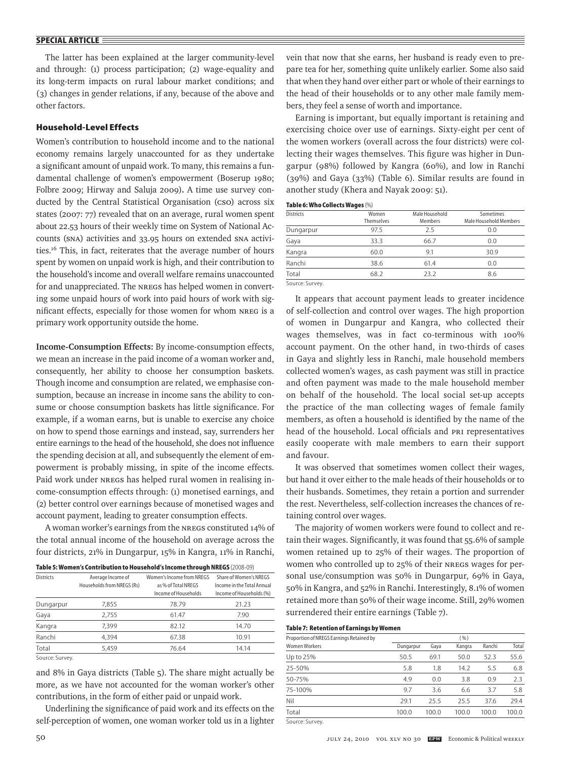The latter has been explained at the larger community-level and through: (1) process participation; (2) wage-equality and its long-term impacts on rural labour market conditions; and (3) changes in gender relations, if any, because of the above and other factors.

# **Household-Level Effects**

Women's contribution to household income and to the national economy remains largely unaccounted for as they undertake a significant amount of unpaid work. To many, this remains a fundamental challenge of women's empowerment (Boserup 1980; Folbre 2009; Hirway and Saluja 2009)**.** A time use survey conducted by the Central Statistical Organisation (cso) across six states (2007: 77) revealed that on an average, rural women spent about 22.53 hours of their weekly time on System of National Accounts (SNA) activities and 33.95 hours on extended SNA activities.16 This, in fact, reiterates that the average number of hours spent by women on unpaid work is high, and their contribution to the household's income and overall welfare remains unaccounted for and unappreciated. The NREGS has helped women in converting some unpaid hours of work into paid hours of work with significant effects, especially for those women for whom NREG is a primary work opportunity outside the home.

**Income-Consumption Effects:** By income-consumption effects, we mean an increase in the paid income of a woman worker and, consequently, her ability to choose her consumption baskets. Though income and consumption are related, we emphasise consumption, because an increase in income sans the ability to consume or choose consumption baskets has little significance. For example, if a woman earns, but is unable to exercise any choice on how to spend those earnings and instead, say, surrenders her entire earnings to the head of the household, she does not influence the spending decision at all, and subsequently the element of empowerment is probably missing, in spite of the income effects. Paid work under NREGS has helped rural women in realising income-consumption effects through: (1) monetised earnings, and (2) better control over earnings because of monetised wages and account payment, leading to greater consumption effects.

A woman worker's earnings from the NREGS constituted 14% of the total annual income of the household on average across the four districts, 21% in Dungarpur, 15% in Kangra, 11% in Ranchi,

| Table 5: Women's Contribution to Household's Income through NREGS (2008-09) |
|-----------------------------------------------------------------------------|
|                                                                             |

| <b>Districts</b> | Average Income of<br>Households from NREGS (Rs) | Women's Income from NRFGS<br>as % of Total NREGS<br>Income of Households | Share of Women's NRFGS<br>Income in the Total Annual<br>Income of Households (%) |
|------------------|-------------------------------------------------|--------------------------------------------------------------------------|----------------------------------------------------------------------------------|
| Dungarpur        | 7,855                                           | 78.79                                                                    | 21.23                                                                            |
| Gaya             | 2.755                                           | 61.47                                                                    | 7.90                                                                             |
| Kangra           | 7,399                                           | 82.12                                                                    | 14.70                                                                            |
| Ranchi           | 4.394                                           | 67.38                                                                    | 10.91                                                                            |
| Total            | 5.459                                           | 76.64                                                                    | 14.14                                                                            |
|                  |                                                 |                                                                          |                                                                                  |

Source: Survey.

and 8% in Gaya districts (Table 5). The share might actually be more, as we have not accounted for the woman worker's other contributions, in the form of either paid or unpaid work.

Underlining the significance of paid work and its effects on the self-perception of women, one woman worker told us in a lighter vein that now that she earns, her husband is ready even to prepare tea for her, something quite unlikely earlier. Some also said that when they hand over either part or whole of their earnings to the head of their households or to any other male family members, they feel a sense of worth and importance.

Earning is important, but equally important is retaining and exercising choice over use of earnings. Sixty-eight per cent of the women workers (overall across the four districts) were collecting their wages themselves. This figure was higher in Dungarpur (98%) followed by Kangra (60%), and low in Ranchi (39%) and Gaya (33%) (Table 6). Similar results are found in another study (Khera and Nayak 2009: 51).

#### **Table 6: Who Collects Wages** (%)

| <b>Districts</b> | Women<br>Themselves | Male Household<br><b>Members</b> | Sometimes<br>Male Household Members |
|------------------|---------------------|----------------------------------|-------------------------------------|
| Dungarpur        | 97.5                | 25                               | 0.0                                 |
| Gaya             | 33.3                | 66.7                             | 0.0                                 |
| Kangra           | 60.0                | 9.1                              | 30.9                                |
| Ranchi           | 38.6                | 61.4                             | 0.0                                 |
| Total            | 68.2                | 23.2                             | 8.6                                 |
| Source: Survey.  |                     |                                  |                                     |

It appears that account payment leads to greater incidence of self-collection and control over wages. The high proportion of women in Dungarpur and Kangra, who collected their wages themselves, was in fact co-terminous with 100% account payment. On the other hand, in two-thirds of cases in Gaya and slightly less in Ranchi, male household members collected women's wages, as cash payment was still in practice and often payment was made to the male household member on behalf of the household. The local social set-up accepts the practice of the man collecting wages of female family members, as often a household is identified by the name of the head of the household. Local officials and PRI representatives easily cooperate with male members to earn their support and favour.

It was observed that sometimes women collect their wages, but hand it over either to the male heads of their households or to their husbands. Sometimes, they retain a portion and surrender the rest. Nevertheless, self-collection increases the chances of retaining control over wages.

The majority of women workers were found to collect and retain their wages. Significantly, it was found that 55.6% of sample women retained up to 25% of their wages. The proportion of women who controlled up to 25% of their NREGS wages for personal use/consumption was 50% in Dungarpur, 69% in Gaya, 50% in Kangra, and 52% in Ranchi. Interestingly, 8.1% of women retained more than 50% of their wage income. Still, 29% women surrendered their entire earnings (Table 7).

#### **Table 7: Retention of Earnings by Women**

| Proportion of NREGS Earnings Retained by |           |       | (96)   |        |       |
|------------------------------------------|-----------|-------|--------|--------|-------|
| <b>Women Workers</b>                     | Dungarpur | Gaya  | Kangra | Ranchi | Total |
| Up to 25%                                | 50.5      | 69.1  | 50.0   | 52.3   | 55.6  |
| 25-50%                                   | 5.8       | 1.8   | 14.2   | 5.5    | 6.8   |
| 50-75%                                   | 4.9       | 0.0   | 3.8    | 0.9    | 2.3   |
| 75-100%                                  | 9.7       | 3.6   | 6.6    | 3.7    | 5.8   |
| Nil                                      | 29.1      | 25.5  | 25.5   | 37.6   | 29.4  |
| Total                                    | 100.0     | 100.0 | 100.0  | 100.0  | 100.0 |
|                                          |           |       |        |        |       |

Source: Survey.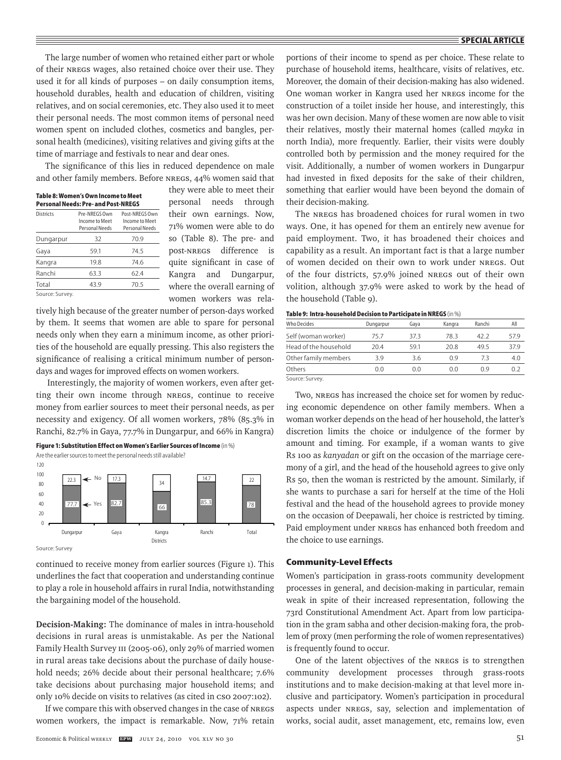The large number of women who retained either part or whole of their NREGS wages, also retained choice over their use. They used it for all kinds of purposes – on daily consumption items, household durables, health and education of children, visiting relatives, and on social ceremonies, etc. They also used it to meet their personal needs. The most common items of personal need women spent on included clothes, cosmetics and bangles, personal health (medicines), visiting relatives and giving gifts at the time of marriage and festivals to near and dear ones.

The significance of this lies in reduced dependence on male and other family members. Before NREGS, 44% women said that

| Pre-NRFGS Own<br>Income to Meet<br>Personal Needs | Post-NRFGS Own<br>Income to Meet<br>Personal Needs |
|---------------------------------------------------|----------------------------------------------------|
| 32                                                | 70.9                                               |
| 59.1                                              | 74.5                                               |
| 19.8                                              | 74.6                                               |
| 63.3                                              | 62.4                                               |
| 43.9                                              | 70.5                                               |
|                                                   |                                                    |

they were able to meet their personal needs through their own earnings. Now, 71% women were able to do so (Table 8). The pre- and post-NREGS difference is quite significant in case of Kangra and Dungarpur, where the overall earning of women workers was rela-

tively high because of the greater number of person-days worked by them. It seems that women are able to spare for personal needs only when they earn a minimum income, as other priorities of the household are equally pressing. This also registers the significance of realising a critical minimum number of persondays and wages for improved effects on women workers.

 Interestingly, the majority of women workers, even after getting their own income through NREGS, continue to receive money from earlier sources to meet their personal needs, as per necessity and exigency. Of all women workers, 78% (85.3% in Ranchi, 82.7% in Gaya, 77.7% in Dungarpur, and 66% in Kangra)

**Figure 1: Substitution Effect on Women's Earlier Sources of Income** (in %)



Source: Survey

continued to receive money from earlier sources (Figure 1). This underlines the fact that cooperation and understanding continue to play a role in household affairs in rural India, notwithstanding the bargaining model of the household.

**Decision-Making:** The dominance of males in intra-household decisions in rural areas is unmistakable. As per the National Family Health Survey III (2005-06), only 29% of married women in rural areas take decisions about the purchase of daily household needs; 26% decide about their personal healthcare; 7.6% take decisions about purchasing major household items; and only 10% decide on visits to relatives (as cited in CSO 2007:102).

If we compare this with observed changes in the case of NREGS women workers, the impact is remarkable. Now, 71% retain portions of their income to spend as per choice. These relate to purchase of household items, healthcare, visits of relatives, etc. Moreover, the domain of their decision-making has also widened. One woman worker in Kangra used her NREGS income for the construction of a toilet inside her house, and interestingly, this was her own decision. Many of these women are now able to visit their relatives, mostly their maternal homes (called *mayka* in north India), more frequently. Earlier, their visits were doubly controlled both by permission and the money required for the visit. Additionally, a number of women workers in Dungarpur had invested in fixed deposits for the sake of their children, something that earlier would have been beyond the domain of their decision-making.

The NREGS has broadened choices for rural women in two ways. One, it has opened for them an entirely new avenue for paid employment. Two, it has broadened their choices and capability as a result. An important fact is that a large number of women decided on their own to work under NREGS. Out of the four districts, 57.9% joined NREGS out of their own volition, although 37.9% were asked to work by the head of the household (Table 9).

| <b>Table 9: Intra-household Decision to Participate in NREGS</b> (in %) |  |  |  |  |  |  |  |
|-------------------------------------------------------------------------|--|--|--|--|--|--|--|
|-------------------------------------------------------------------------|--|--|--|--|--|--|--|

| <b>Who Decides</b>    | Dungarpur | Gava | Kangra | Ranchi | All  |
|-----------------------|-----------|------|--------|--------|------|
| Self (woman worker)   | 75.7      | 373  | 783    | 42.2   | 57.9 |
| Head of the household | 204       | 591  | 20.8   | 495    | 37.9 |
| Other family members  | 39        | 3.6  | 0 ዓ    | 73     | 4.0  |
| Others                | 0.0       | 00   | 0 O    | 09     | 0.2  |
| Course Curvey         |           |      |        |        |      |

Source: Survey.

Two, NREGS has increased the choice set for women by reducing economic dependence on other family members. When a woman worker depends on the head of her household, the latter's discretion limits the choice or indulgence of the former by amount and timing. For example, if a woman wants to give Rs 100 as *kanyadan* or gift on the occasion of the marriage ceremony of a girl, and the head of the household agrees to give only Rs 50, then the woman is restricted by the amount. Similarly, if she wants to purchase a sari for herself at the time of the Holi festival and the head of the household agrees to provide money on the occasion of Deepawali, her choice is restricted by timing. Paid employment under NREGS has enhanced both freedom and the choice to use earnings.

#### **Community-Level Effects**

Women's participation in grass-roots community development processes in general, and decision-making in particular, remain weak in spite of their increased representation, following the 73rd Constitutional Amendment Act. Apart from low participation in the gram sabha and other decision-making fora, the problem of proxy (men performing the role of women representatives) is frequently found to occur.

One of the latent objectives of the NREGS is to strengthen community development processes through grass-roots institutions and to make decision-making at that level more inclusive and participatory. Women's participation in procedural aspects under NREGS, say, selection and implementation of works, social audit, asset management, etc, remains low, even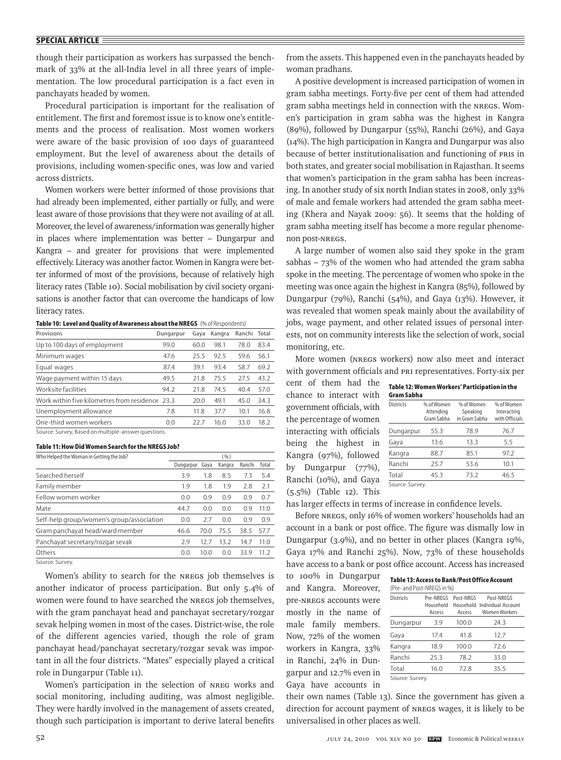though their participation as workers has surpassed the benchmark of 33% at the all-India level in all three years of implementation. The low procedural participation is a fact even in panchayats headed by women.

Procedural participation is important for the realisation of entitlement. The first and foremost issue is to know one's entitlements and the process of realisation. Most women workers were aware of the basic provision of 100 days of guaranteed employment. But the level of awareness about the details of provisions, including women-specific ones, was low and varied across districts.

Women workers were better informed of those provisions that had already been implemented, either partially or fully, and were least aware of those provisions that they were not availing of at all. Moreover, the level of awareness/information was generally higher in places where implementation was better – Dungarpur and Kangra – and greater for provisions that were implemented effectively. Literacy was another factor. Women in Kangra were better informed of most of the provisions, because of relatively high literacy rates (Table 10). Social mobilisation by civil society organisations is another factor that can overcome the handicaps of low literacy rates.

|  | Table 10: Level and Quality of Awareness about the NREGS (% of Respondents) |  |
|--|-----------------------------------------------------------------------------|--|
|--|-----------------------------------------------------------------------------|--|

| Provisions                                                                                                                                                                                                                                                                                                                                                                                                                    | Dungarpur | Gaya | Kangra | Ranchi Total |      |
|-------------------------------------------------------------------------------------------------------------------------------------------------------------------------------------------------------------------------------------------------------------------------------------------------------------------------------------------------------------------------------------------------------------------------------|-----------|------|--------|--------------|------|
| Up to 100 days of employment                                                                                                                                                                                                                                                                                                                                                                                                  | 99.0      | 60.0 | 98.1   | 78.0         | 83.4 |
| Minimum wages                                                                                                                                                                                                                                                                                                                                                                                                                 | 47.6      | 25.5 | 92.5   | 59.6         | 56.1 |
| Equal wages                                                                                                                                                                                                                                                                                                                                                                                                                   | 87.4      | 39.1 | 93.4   | 58.7         | 69.2 |
| Wage payment within 15 days                                                                                                                                                                                                                                                                                                                                                                                                   | 49.5      | 21.8 | 75.5   | 27.5         | 43.2 |
| Worksite facilities                                                                                                                                                                                                                                                                                                                                                                                                           | 94.2      | 21.8 | 74.5   | 40.4         | 57.0 |
| Work within five kilometres from residence 23.3                                                                                                                                                                                                                                                                                                                                                                               |           | 20.0 | 49.1   | 45.0         | 34.3 |
| Unemployment allowance                                                                                                                                                                                                                                                                                                                                                                                                        | 7.8       | 11.8 | 37.7   | 10.1         | 16.8 |
| One-third women workers                                                                                                                                                                                                                                                                                                                                                                                                       | 0.0       | 22.7 | 16.0   | 33.0         | 18.2 |
| $\epsilon$ , $\epsilon$ , $\epsilon$ , $\epsilon$ , $\epsilon$ , $\epsilon$ , $\epsilon$ , $\epsilon$ , $\epsilon$ , $\epsilon$ , $\epsilon$ , $\epsilon$ , $\epsilon$ , $\epsilon$ , $\epsilon$ , $\epsilon$ , $\epsilon$ , $\epsilon$ , $\epsilon$ , $\epsilon$ , $\epsilon$ , $\epsilon$ , $\epsilon$ , $\epsilon$ , $\epsilon$ , $\epsilon$ , $\epsilon$ , $\epsilon$ , $\epsilon$ , $\epsilon$ , $\epsilon$ , $\epsilon$ |           |      |        |              |      |

Source: Survey, Based on multiple-answer questions.

#### **Table 11: How Did Women Search for the NREGS Job?**

| Who Helped the Woman in Getting the Job?  | (96)      |      |        |        |       |
|-------------------------------------------|-----------|------|--------|--------|-------|
|                                           | Dungarpur | Gava | Kangra | Ranchi | Total |
| Searched herself                          | 3.9       | 1.8  | 8.5    | 7.3    | 5.4   |
| Family member                             | 1.9       | 1.8  | 1.9    | 2.8    | 2.1   |
| Fellow women worker                       | 0.0       | 0.9  | 0.9    | 0.9    | 0.7   |
| Mate                                      | 44.7      | 0.0  | 0.0    | 0.9    | 11.0  |
| Self-help group/women's group/association | 0.0       | 2.7  | 0.0    | 0.9    | 0.9   |
| Gram panchayat head/ward member           | 46.6      | 70.0 | 75.5   | 38.5   | 57.7  |
| Panchayat secretary/rozgar sevak          | 2.9       | 12.7 | 13.2   | 14.7   | 11.0  |
| Others                                    | 0.0       | 10.0 | 0.0    | 33.9   | 11.2  |
| Source: Survey.                           |           |      |        |        |       |

Women's ability to search for the NREGS job themselves is another indicator of process participation. But only 5.4% of women were found to have searched the NREGS job themselves, with the gram panchayat head and panchayat secretary/rozgar sevak helping women in most of the cases. District-wise, the role of the different agencies varied, though the role of gram panchayat head/panchayat secretary/rozgar sevak was important in all the four districts. "Mates" especially played a critical role in Dungarpur (Table 11).

Women's participation in the selection of NREG works and social monitoring, including auditing, was almost negligible. They were hardly involved in the management of assets created, though such participation is important to derive lateral benefits from the assets. This happened even in the panchayats headed by woman pradhans.

A positive development is increased participation of women in gram sabha meetings. Forty-five per cent of them had attended gram sabha meetings held in connection with the NREGS. Women's participation in gram sabha was the highest in Kangra (89%), followed by Dungarpur (55%), Ranchi (26%), and Gaya (14%). The high participation in Kangra and Dungarpur was also because of better institutionalisation and functioning of PRIs in both states, and greater social mobilisation in Rajasthan. It seems that women's participation in the gram sabha has been increasing. In another study of six north Indian states in 2008, only 33% of male and female workers had attended the gram sabha meeting (Khera and Nayak 2009: 56). It seems that the holding of gram sabha meeting itself has become a more regular phenomenon post-NREGS.

A large number of women also said they spoke in the gram sabhas –  $73\%$  of the women who had attended the gram sabha spoke in the meeting. The percentage of women who spoke in the meeting was once again the highest in Kangra (85%), followed by Dungarpur (79%), Ranchi (54%), and Gaya (13%). However, it was revealed that women speak mainly about the availability of jobs, wage payment, and other related issues of personal interests, not on community interests like the selection of work, social monitoring, etc.

More women (NREGS workers) now also meet and interact with government officials and PRI representatives. Forty-six per

cent of them had the **Table 12: Women Workers' Participation in the**  chance to interact with government officials, with the percentage of women interacting with officials being the highest in Kangra (97%), followed by Dungarpur (77%), Ranchi (10%), and Gaya (5.5%) (Table 12). This

| Table 12: Women Workers Participation in the |  |  |
|----------------------------------------------|--|--|
| Gram Sabha                                   |  |  |
|                                              |  |  |

| <b>Districts</b> | % of Women<br>Attending<br>Gram Sabha | % of Women<br>Speaking<br>in Gram Sabha | % of Women<br>Interacting<br>with Officials |
|------------------|---------------------------------------|-----------------------------------------|---------------------------------------------|
| Dungarpur        | 55.3                                  | 78.9                                    | 76.7                                        |
| Gaya             | 13.6                                  | 13.3                                    | 5.5                                         |
| Kangra           | 88.7                                  | 85.1                                    | 97.2                                        |
| Ranchi           | 25.7                                  | 53.6                                    | 10.1                                        |
| Total            | 45.3                                  | 73.2                                    | 46.5                                        |
| Source: Survey.  |                                       |                                         |                                             |

has larger effects in terms of increase in confidence levels.

Before NREGS, only 16% of women workers' households had an account in a bank or post office. The figure was dismally low in Dungarpur (3.9%), and no better in other places (Kangra 19%, Gaya 17% and Ranchi 25%). Now, 73% of these households have access to a bank or post office account. Access has increased

to 100% in Dungarpur and Kangra. Moreover, pre-NREGS accounts were mostly in the name of male family members. Now, 72% of the women workers in Kangra, 33% in Ranchi, 24% in Dungarpur and 12.7% even in Gaya have accounts in

|                            | Table 13: Access to Bank/Post Office Account |  |
|----------------------------|----------------------------------------------|--|
| (Pre- and Post-NREGS in %) |                                              |  |

| <b>Districts</b> | Pre-NRFGS<br>Household<br>Access | Post-NRGS<br>Access | Post-NRFGS<br>Household Individual Account<br><b>Women Workers</b> |
|------------------|----------------------------------|---------------------|--------------------------------------------------------------------|
| Dungarpur        | 3.9                              | 100.0               | 24.3                                                               |
| Gaya             | 17.4                             | 41.8                | 12.7                                                               |
| Kangra           | 18.9                             | 100.0               | 72.6                                                               |
| Ranchi           | 25.3                             | 78.2                | 33.0                                                               |
| Total            | 16.0                             | 72.8                | 35.5                                                               |
| Source: Survey.  |                                  |                     |                                                                    |

their own names (Table 13). Since the government has given a direction for account payment of NREGS wages, it is likely to be universalised in other places as well.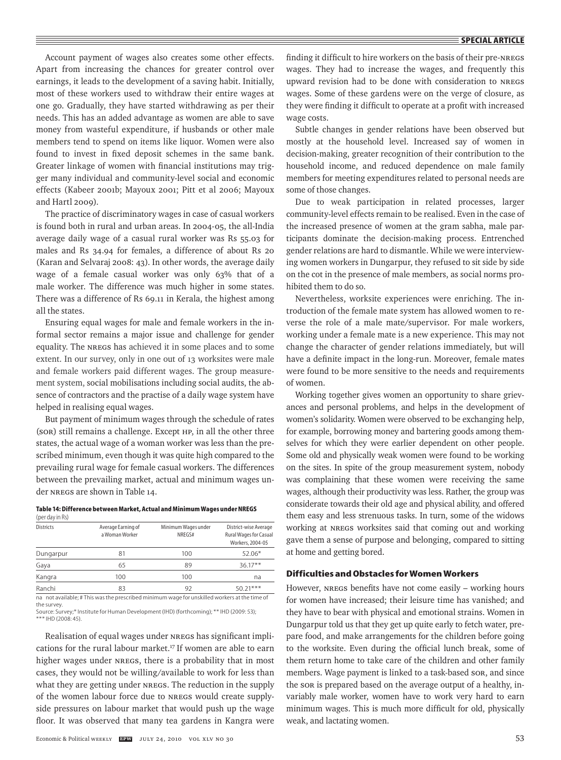Account payment of wages also creates some other effects. Apart from increasing the chances for greater control over earnings, it leads to the development of a saving habit. Initially, most of these workers used to withdraw their entire wages at one go. Gradually, they have started withdrawing as per their needs. This has an added advantage as women are able to save money from wasteful expenditure, if husbands or other male members tend to spend on items like liquor. Women were also found to invest in fixed deposit schemes in the same bank. Greater linkage of women with financial institutions may trigger many individual and community-level social and economic effects (Kabeer 2001b; Mayoux 2001; Pitt et al 2006; Mayoux and Hartl 2009).

The practice of discriminatory wages in case of casual workers is found both in rural and urban areas. In 2004-05, the all-India average daily wage of a casual rural worker was Rs 55.03 for males and Rs 34.94 for females, a difference of about Rs 20 (Karan and Selvaraj 2008: 43). In other words, the average daily wage of a female casual worker was only 63% that of a male worker. The difference was much higher in some states. There was a difference of Rs 69.11 in Kerala, the highest among all the states.

Ensuring equal wages for male and female workers in the informal sector remains a major issue and challenge for gender equality. The NREGS has achieved it in some places and to some extent. In our survey, only in one out of 13 worksites were male and female workers paid different wages. The group measurement system, social mobilisations including social audits, the absence of contractors and the practise of a daily wage system have helped in realising equal wages.

But payment of minimum wages through the schedule of rates (SOR) still remains a challenge. Except HP, in all the other three states, the actual wage of a woman worker was less than the prescribed minimum, even though it was quite high compared to the prevailing rural wage for female casual workers. The differences between the prevailing market, actual and minimum wages under NREGS are shown in Table 14.

#### **Table 14: Difference between Market, Actual and Minimum Wages under NREGS**  (per day in Rs)

| <b>Districts</b> | Average Earning of<br>a Woman Worker | Minimum Wages under<br>NREGS# | District-wise Average<br><b>Rural Wages for Casual</b><br>Workers, 2004-05 |  |
|------------------|--------------------------------------|-------------------------------|----------------------------------------------------------------------------|--|
| Dungarpur        | 81                                   | 100                           | $52.06*$                                                                   |  |
| Gaya             | 65                                   | 89                            | $36.17**$                                                                  |  |
| Kangra           | 100                                  | 100                           | na                                                                         |  |
| Ranchi           | 83                                   | 92                            | $50.21***$                                                                 |  |

na not available; # This was the prescribed minimum wage for unskilled workers at the time of the survey. Source: Survey;\* Institute for Human Development (IHD) (forthcoming); \*\* IHD (2009: 53);

\*\*\* IHD (2008: 45).

Realisation of equal wages under NREGS has significant implications for the rural labour market.<sup>17</sup> If women are able to earn higher wages under NREGS, there is a probability that in most cases, they would not be willing/available to work for less than what they are getting under NREGS. The reduction in the supply of the women labour force due to NREGS would create supplyside pressures on labour market that would push up the wage floor. It was observed that many tea gardens in Kangra were finding it difficult to hire workers on the basis of their pre-NREGS wages. They had to increase the wages, and frequently this upward revision had to be done with consideration to NREGS wages. Some of these gardens were on the verge of closure, as they were finding it difficult to operate at a profit with increased wage costs.

Subtle changes in gender relations have been observed but mostly at the household level. Increased say of women in decision-making, greater recognition of their contribution to the household income, and reduced dependence on male family members for meeting expenditures related to personal needs are some of those changes.

Due to weak participation in related processes, larger community-level effects remain to be realised. Even in the case of the increased presence of women at the gram sabha, male participants dominate the decision-making process. Entrenched gender relations are hard to dismantle. While we were interviewing women workers in Dungarpur, they refused to sit side by side on the cot in the presence of male members, as social norms prohibited them to do so.

Nevertheless, worksite experiences were enriching. The introduction of the female mate system has allowed women to reverse the role of a male mate/supervisor. For male workers, working under a female mate is a new experience. This may not change the character of gender relations immediately, but will have a definite impact in the long-run. Moreover, female mates were found to be more sensitive to the needs and requirements of women.

Working together gives women an opportunity to share grievances and personal problems, and helps in the development of women's solidarity. Women were observed to be exchanging help, for example, borrowing money and bartering goods among themselves for which they were earlier dependent on other people. Some old and physically weak women were found to be working on the sites. In spite of the group measurement system, nobody was complaining that these women were receiving the same wages, although their productivity was less. Rather, the group was considerate towards their old age and physical ability, and offered them easy and less strenuous tasks. In turn, some of the widows working at NREGS worksites said that coming out and working gave them a sense of purpose and belonging, compared to sitting at home and getting bored.

# **Difficulties and Obstacles for Women Workers**

However, NREGS benefits have not come easily – working hours for women have increased; their leisure time has vanished; and they have to bear with physical and emotional strains. Women in Dungarpur told us that they get up quite early to fetch water, prepare food, and make arrangements for the children before going to the worksite. Even during the official lunch break, some of them return home to take care of the children and other family members. Wage payment is linked to a task-based son, and since the SOR is prepared based on the average output of a healthy, invariably male worker, women have to work very hard to earn minimum wages. This is much more difficult for old, physically weak, and lactating women.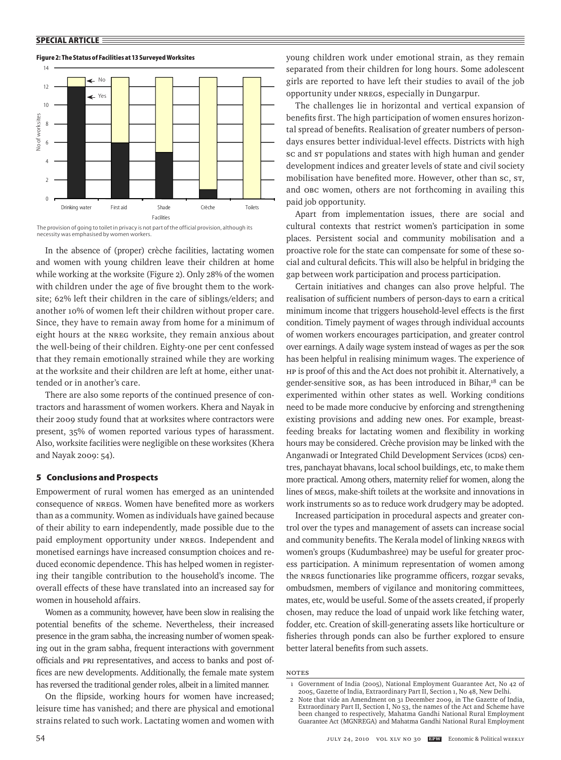## 14 No 12 Yes← 10 No. of Worksites No of worksites No of worksites 8 6 4 2 0 Drinking water First aid Shade Crèche Toilets Facilities

Worksite Facilities

#### **Figure 2: The Status of Facilities at 13 Surveyed Worksites**



In the absence of (proper) crèche facilities, lactating women and women with young children leave their children at home while working at the worksite (Figure 2). Only 28% of the women with children under the age of five brought them to the worksite; 62% left their children in the care of siblings/elders; and another 10% of women left their children without proper care. Since, they have to remain away from home for a minimum of eight hours at the NREG worksite, they remain anxious about the well-being of their children. Eighty-one per cent confessed that they remain emotionally strained while they are working at the worksite and their children are left at home, either unattended or in another's care.

There are also some reports of the continued presence of contractors and harassment of women workers. Khera and Nayak in their 2009 study found that at worksites where contractors were present, 35% of women reported various types of harassment. Also, worksite facilities were negligible on these worksites (Khera and Nayak 2009: 54).

# **5 Conclusions and Prospects**

Empowerment of rural women has emerged as an unintended consequence of NREGS. Women have benefited more as workers than as a community. Women as individuals have gained because of their ability to earn independently, made possible due to the paid employment opportunity under NREGS. Independent and monetised earnings have increased consumption choices and reduced economic dependence. This has helped women in registering their tangible contribution to the household's income. The overall effects of these have translated into an increased say for women in household affairs.

Women as a community, however, have been slow in realising the potential benefits of the scheme. Nevertheless, their increased presence in the gram sabha, the increasing number of women speaking out in the gram sabha, frequent interactions with government officials and PRI representatives, and access to banks and post offices are new developments. Additionally, the female mate system has reversed the traditional gender roles, albeit in a limited manner.

On the flipside, working hours for women have increased; leisure time has vanished; and there are physical and emotional strains related to such work. Lactating women and women with young children work under emotional strain, as they remain separated from their children for long hours. Some adolescent girls are reported to have left their studies to avail of the job opportunity under NREGS, especially in Dungarpur.

The challenges lie in horizontal and vertical expansion of benefits first. The high participation of women ensures horizontal spread of benefits. Realisation of greater numbers of persondays ensures better individual-level effects. Districts with high sc and sr populations and states with high human and gender development indices and greater levels of state and civil society mobilisation have benefited more. However, other than sc, st, and OBC women, others are not forthcoming in availing this paid job opportunity.

Apart from implementation issues, there are social and cultural contexts that restrict women's participation in some places. Persistent social and community mobilisation and a proactive role for the state can compensate for some of these social and cultural deficits. This will also be helpful in bridging the gap between work participation and process participation.

Certain initiatives and changes can also prove helpful. The realisation of sufficient numbers of person-days to earn a critical minimum income that triggers household-level effects is the first condition. Timely payment of wages through individual accounts of women workers encourages participation, and greater control over earnings. A daily wage system instead of wages as per the SOR has been helpful in realising minimum wages. The experience of HP is proof of this and the Act does not prohibit it. Alternatively, a gender-sensitive son, as has been introduced in Bihar,<sup>18</sup> can be experimented within other states as well. Working conditions need to be made more conducive by enforcing and strengthening existing provisions and adding new ones. For example, breastfeeding breaks for lactating women and flexibility in working hours may be considered. Crèche provision may be linked with the Anganwadi or Integrated Child Development Services (ICDS) centres, panchayat bhavans, local school buildings, etc, to make them more practical. Among others, maternity relief for women, along the lines of MEGS, make-shift toilets at the worksite and innovations in work instruments so as to reduce work drudgery may be adopted.

Increased participation in procedural aspects and greater control over the types and management of assets can increase social and community benefits. The Kerala model of linking NREGS with women's groups (Kudumbashree) may be useful for greater process participation. A minimum representation of women among the NREGS functionaries like programme officers, rozgar sevaks, ombudsmen, members of vigilance and monitoring committees, mates, etc, would be useful. Some of the assets created, if properly chosen, may reduce the load of unpaid work like fetching water, fodder, etc. Creation of skill-generating assets like horticulture or fisheries through ponds can also be further explored to ensure better lateral benefits from such assets.

#### **NOTES**

<sup>1</sup> Government of India (2005), National Employment Guarantee Act, No 42 of 2005, Gazette of India, Extraordinary Part II, Section 1, No 48, New Delhi.

<sup>2</sup> Note that vide an Amendment on 31 December 2009, in The Gazette of India, Extraordinary Part II, Section I, No 53, the names of the Act and Scheme have been changed to respectively, Mahatma Gandhi National Rural Employment Guarantee Act (MGNREGA) and Mahatma Gandhi National Rural Employment